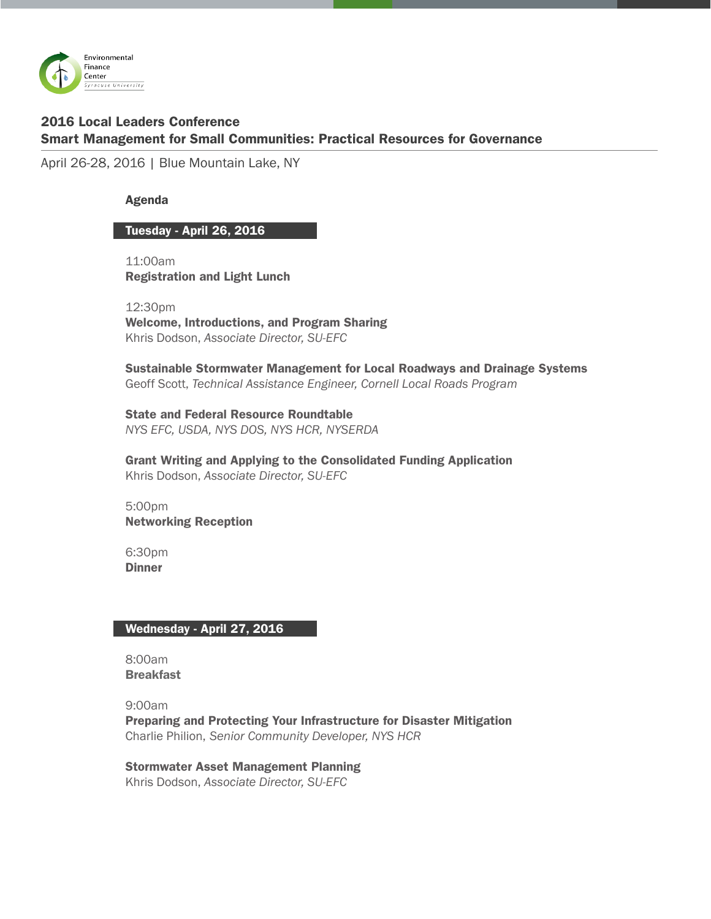

# 2016 Local Leaders Conference Smart Management for Small Communities: Practical Resources for Governance

April 26-28, 2016 | Blue Mountain Lake, NY

## Agenda

### Tuesday - April 26, 2016

11:00am Registration and Light Lunch

12:30pm Welcome, Introductions, and Program Sharing Khris Dodson, *Associate Director, SU-EFC*

Sustainable Stormwater Management for Local Roadways and Drainage Systems Geoff Scott, *Technical Assistance Engineer, Cornell Local Roads Program*

State and Federal Resource Roundtable *NYS EFC, USDA, NYS DOS, NYS HCR, NYSERDA*

Grant Writing and Applying to the Consolidated Funding Application Khris Dodson, *Associate Director, SU-EFC*

5:00pm Networking Reception

6:30pm **Dinner** 

### Wednesday - April 27, 2016

8:00am **Breakfast** 

9:00am Preparing and Protecting Your Infrastructure for Disaster Mitigation Charlie Philion, *Senior Community Developer, NYS HCR*

Stormwater Asset Management Planning Khris Dodson, *Associate Director, SU-EFC*